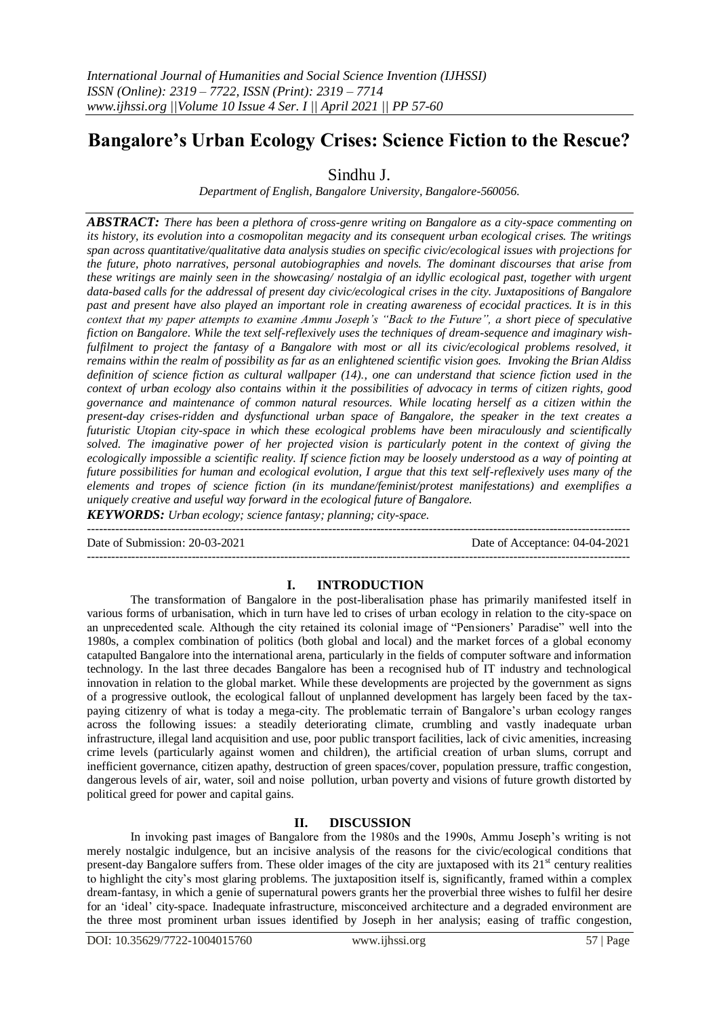# **Bangalore's Urban Ecology Crises: Science Fiction to the Rescue?**

Sindhu J.

*Department of English, Bangalore University, Bangalore-560056.*

*ABSTRACT: There has been a plethora of cross-genre writing on Bangalore as a city-space commenting on its history, its evolution into a cosmopolitan megacity and its consequent urban ecological crises. The writings span across quantitative/qualitative data analysis studies on specific civic/ecological issues with projections for the future, photo narratives, personal autobiographies and novels. The dominant discourses that arise from these writings are mainly seen in the showcasing/ nostalgia of an idyllic ecological past, together with urgent data-based calls for the addressal of present day civic/ecological crises in the city. Juxtapositions of Bangalore past and present have also played an important role in creating awareness of ecocidal practices. It is in this context that my paper attempts to examine Ammu Joseph's "Back to the Future", a short piece of speculative fiction on Bangalore. While the text self-reflexively uses the techniques of dream-sequence and imaginary wish*fulfilment to project the fantasy of a Bangalore with most or all its civic/ecological problems resolved, it *remains within the realm of possibility as far as an enlightened scientific vision goes. Invoking the Brian Aldiss definition of science fiction as cultural wallpaper (14)., one can understand that science fiction used in the context of urban ecology also contains within it the possibilities of advocacy in terms of citizen rights, good governance and maintenance of common natural resources. While locating herself as a citizen within the present-day crises-ridden and dysfunctional urban space of Bangalore, the speaker in the text creates a futuristic Utopian city-space in which these ecological problems have been miraculously and scientifically solved. The imaginative power of her projected vision is particularly potent in the context of giving the ecologically impossible a scientific reality. If science fiction may be loosely understood as a way of pointing at future possibilities for human and ecological evolution, I argue that this text self-reflexively uses many of the elements and tropes of science fiction (in its mundane/feminist/protest manifestations) and exemplifies a uniquely creative and useful way forward in the ecological future of Bangalore.* 

*KEYWORDS: Urban ecology; science fantasy; planning; city-space.*

--------------------------------------------------------------------------------------------------------------------------------------- Date of Submission: 20-03-2021 Date of Acceptance: 04-04-2021

---------------------------------------------------------------------------------------------------------------------------------------

### **I. INTRODUCTION**

The transformation of Bangalore in the post-liberalisation phase has primarily manifested itself in various forms of urbanisation, which in turn have led to crises of urban ecology in relation to the city-space on an unprecedented scale. Although the city retained its colonial image of "Pensioners' Paradise" well into the 1980s, a complex combination of politics (both global and local) and the market forces of a global economy catapulted Bangalore into the international arena, particularly in the fields of computer software and information technology. In the last three decades Bangalore has been a recognised hub of IT industry and technological innovation in relation to the global market. While these developments are projected by the government as signs of a progressive outlook, the ecological fallout of unplanned development has largely been faced by the taxpaying citizenry of what is today a mega-city. The problematic terrain of Bangalore's urban ecology ranges across the following issues: a steadily deteriorating climate, crumbling and vastly inadequate urban infrastructure, illegal land acquisition and use, poor public transport facilities, lack of civic amenities, increasing crime levels (particularly against women and children), the artificial creation of urban slums, corrupt and inefficient governance, citizen apathy, destruction of green spaces/cover, population pressure, traffic congestion, dangerous levels of air, water, soil and noise pollution, urban poverty and visions of future growth distorted by political greed for power and capital gains.

### **II. DISCUSSION**

In invoking past images of Bangalore from the 1980s and the 1990s, Ammu Joseph's writing is not merely nostalgic indulgence, but an incisive analysis of the reasons for the civic/ecological conditions that present-day Bangalore suffers from. These older images of the city are juxtaposed with its  $21<sup>st</sup>$  century realities to highlight the city's most glaring problems. The juxtaposition itself is, significantly, framed within a complex dream-fantasy, in which a genie of supernatural powers grants her the proverbial three wishes to fulfil her desire for an 'ideal' city-space. Inadequate infrastructure, misconceived architecture and a degraded environment are the three most prominent urban issues identified by Joseph in her analysis; easing of traffic congestion,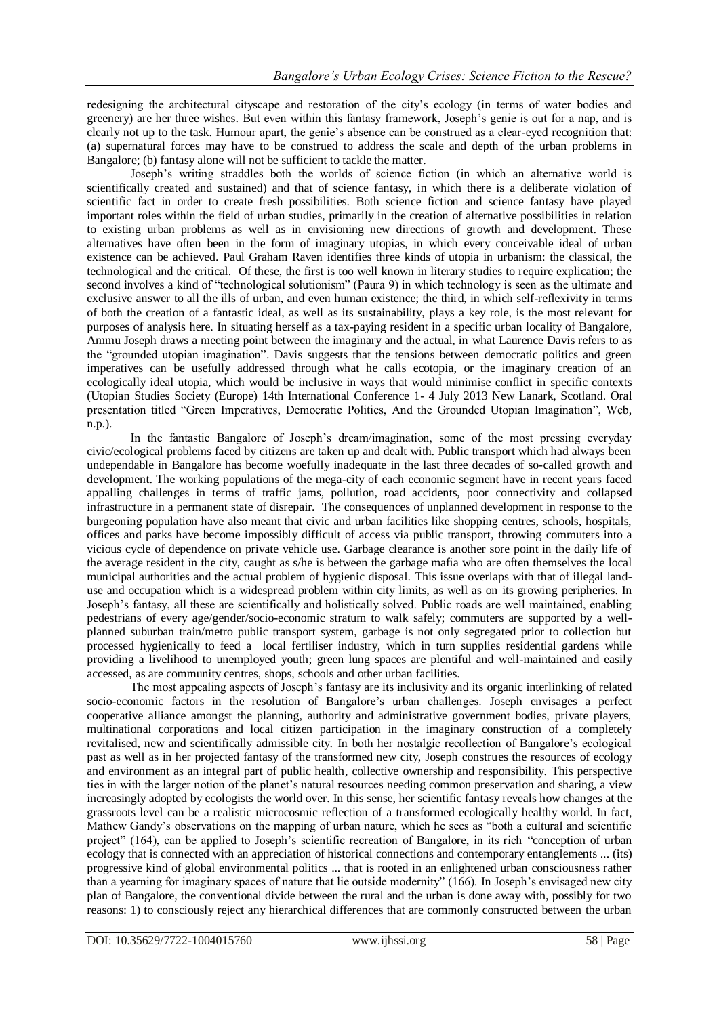redesigning the architectural cityscape and restoration of the city's ecology (in terms of water bodies and greenery) are her three wishes. But even within this fantasy framework, Joseph's genie is out for a nap, and is clearly not up to the task. Humour apart, the genie's absence can be construed as a clear-eyed recognition that: (a) supernatural forces may have to be construed to address the scale and depth of the urban problems in Bangalore; (b) fantasy alone will not be sufficient to tackle the matter.

Joseph's writing straddles both the worlds of science fiction (in which an alternative world is scientifically created and sustained) and that of science fantasy, in which there is a deliberate violation of scientific fact in order to create fresh possibilities. Both science fiction and science fantasy have played important roles within the field of urban studies, primarily in the creation of alternative possibilities in relation to existing urban problems as well as in envisioning new directions of growth and development. These alternatives have often been in the form of imaginary utopias, in which every conceivable ideal of urban existence can be achieved. Paul Graham Raven identifies three kinds of utopia in urbanism: the classical, the technological and the critical. Of these, the first is too well known in literary studies to require explication; the second involves a kind of "technological solutionism" (Paura 9) in which technology is seen as the ultimate and exclusive answer to all the ills of urban, and even human existence; the third, in which self-reflexivity in terms of both the creation of a fantastic ideal, as well as its sustainability, plays a key role, is the most relevant for purposes of analysis here. In situating herself as a tax-paying resident in a specific urban locality of Bangalore, Ammu Joseph draws a meeting point between the imaginary and the actual, in what Laurence Davis refers to as the "grounded utopian imagination". Davis suggests that the tensions between democratic politics and green imperatives can be usefully addressed through what he calls ecotopia, or the imaginary creation of an ecologically ideal utopia, which would be inclusive in ways that would minimise conflict in specific contexts (Utopian Studies Society (Europe) 14th International Conference 1- 4 July 2013 New Lanark, Scotland. Oral presentation titled "Green Imperatives, Democratic Politics, And the Grounded Utopian Imagination", Web, n.p.).

In the fantastic Bangalore of Joseph's dream/imagination, some of the most pressing everyday civic/ecological problems faced by citizens are taken up and dealt with. Public transport which had always been undependable in Bangalore has become woefully inadequate in the last three decades of so-called growth and development. The working populations of the mega-city of each economic segment have in recent years faced appalling challenges in terms of traffic jams, pollution, road accidents, poor connectivity and collapsed infrastructure in a permanent state of disrepair. The consequences of unplanned development in response to the burgeoning population have also meant that civic and urban facilities like shopping centres, schools, hospitals, offices and parks have become impossibly difficult of access via public transport, throwing commuters into a vicious cycle of dependence on private vehicle use. Garbage clearance is another sore point in the daily life of the average resident in the city, caught as s/he is between the garbage mafia who are often themselves the local municipal authorities and the actual problem of hygienic disposal. This issue overlaps with that of illegal landuse and occupation which is a widespread problem within city limits, as well as on its growing peripheries. In Joseph's fantasy, all these are scientifically and holistically solved. Public roads are well maintained, enabling pedestrians of every age/gender/socio-economic stratum to walk safely; commuters are supported by a wellplanned suburban train/metro public transport system, garbage is not only segregated prior to collection but processed hygienically to feed a local fertiliser industry, which in turn supplies residential gardens while providing a livelihood to unemployed youth; green lung spaces are plentiful and well-maintained and easily accessed, as are community centres, shops, schools and other urban facilities.

The most appealing aspects of Joseph's fantasy are its inclusivity and its organic interlinking of related socio-economic factors in the resolution of Bangalore's urban challenges. Joseph envisages a perfect cooperative alliance amongst the planning, authority and administrative government bodies, private players, multinational corporations and local citizen participation in the imaginary construction of a completely revitalised, new and scientifically admissible city. In both her nostalgic recollection of Bangalore's ecological past as well as in her projected fantasy of the transformed new city, Joseph construes the resources of ecology and environment as an integral part of public health, collective ownership and responsibility. This perspective ties in with the larger notion of the planet's natural resources needing common preservation and sharing, a view increasingly adopted by ecologists the world over. In this sense, her scientific fantasy reveals how changes at the grassroots level can be a realistic microcosmic reflection of a transformed ecologically healthy world. In fact, Mathew Gandy's observations on the mapping of urban nature, which he sees as "both a cultural and scientific project" (164), can be applied to Joseph's scientific recreation of Bangalore, in its rich "conception of urban ecology that is connected with an appreciation of historical connections and contemporary entanglements ... (its) progressive kind of global environmental politics ... that is rooted in an enlightened urban consciousness rather than a yearning for imaginary spaces of nature that lie outside modernity" (166). In Joseph's envisaged new city plan of Bangalore, the conventional divide between the rural and the urban is done away with, possibly for two reasons: 1) to consciously reject any hierarchical differences that are commonly constructed between the urban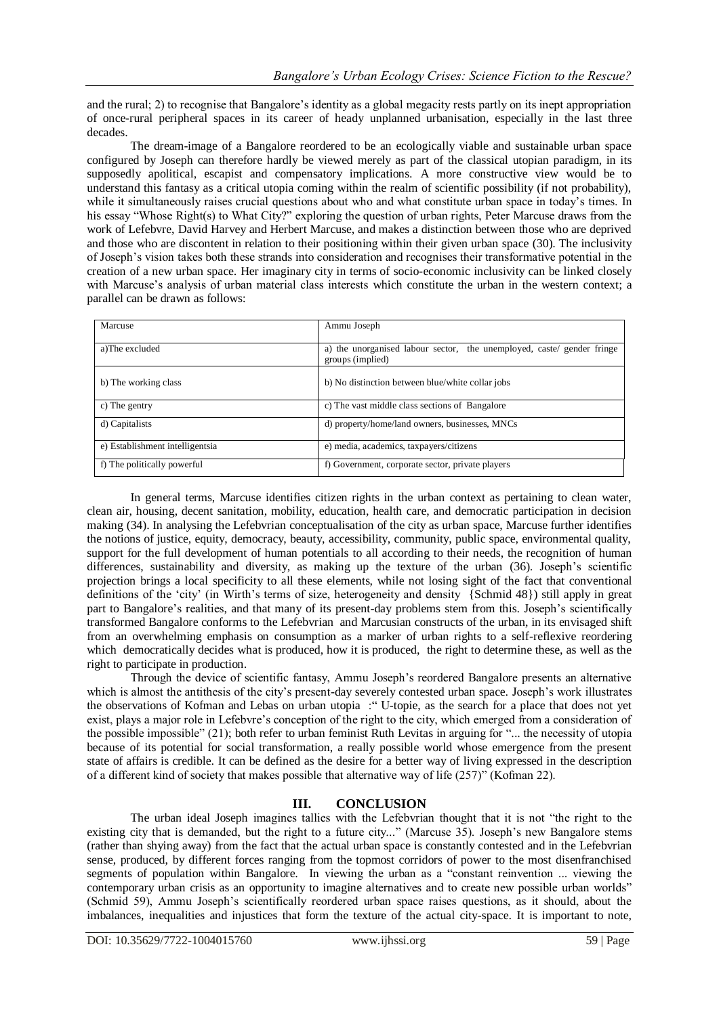and the rural; 2) to recognise that Bangalore's identity as a global megacity rests partly on its inept appropriation of once-rural peripheral spaces in its career of heady unplanned urbanisation, especially in the last three decades.

The dream-image of a Bangalore reordered to be an ecologically viable and sustainable urban space configured by Joseph can therefore hardly be viewed merely as part of the classical utopian paradigm, in its supposedly apolitical, escapist and compensatory implications. A more constructive view would be to understand this fantasy as a critical utopia coming within the realm of scientific possibility (if not probability), while it simultaneously raises crucial questions about who and what constitute urban space in today's times. In his essay "Whose Right(s) to What City?" exploring the question of urban rights, Peter Marcuse draws from the work of Lefebvre, David Harvey and Herbert Marcuse, and makes a distinction between those who are deprived and those who are discontent in relation to their positioning within their given urban space (30). The inclusivity of Joseph's vision takes both these strands into consideration and recognises their transformative potential in the creation of a new urban space. Her imaginary city in terms of socio-economic inclusivity can be linked closely with Marcuse's analysis of urban material class interests which constitute the urban in the western context; a parallel can be drawn as follows:

| Marcuse                         | Ammu Joseph                                                                                |
|---------------------------------|--------------------------------------------------------------------------------------------|
| a)The excluded                  | a) the unorganised labour sector, the unemployed, caste/ gender fringe<br>groups (implied) |
| b) The working class            | b) No distinction between blue/white collar jobs                                           |
| c) The gentry                   | c) The vast middle class sections of Bangalore                                             |
| d) Capitalists                  | d) property/home/land owners, businesses, MNCs                                             |
| e) Establishment intelligentsia | e) media, academics, taxpayers/citizens                                                    |
| f) The politically powerful     | f) Government, corporate sector, private players                                           |

In general terms, Marcuse identifies citizen rights in the urban context as pertaining to clean water, clean air, housing, decent sanitation, mobility, education, health care, and democratic participation in decision making (34). In analysing the Lefebvrian conceptualisation of the city as urban space, Marcuse further identifies the notions of justice, equity, democracy, beauty, accessibility, community, public space, environmental quality, support for the full development of human potentials to all according to their needs, the recognition of human differences, sustainability and diversity, as making up the texture of the urban (36). Joseph's scientific projection brings a local specificity to all these elements, while not losing sight of the fact that conventional definitions of the 'city' (in Wirth's terms of size, heterogeneity and density {Schmid 48}) still apply in great part to Bangalore's realities, and that many of its present-day problems stem from this. Joseph's scientifically transformed Bangalore conforms to the Lefebvrian and Marcusian constructs of the urban, in its envisaged shift from an overwhelming emphasis on consumption as a marker of urban rights to a self-reflexive reordering which democratically decides what is produced, how it is produced, the right to determine these, as well as the right to participate in production.

Through the device of scientific fantasy, Ammu Joseph's reordered Bangalore presents an alternative which is almost the antithesis of the city's present-day severely contested urban space. Joseph's work illustrates the observations of Kofman and Lebas on urban utopia :" U-topie, as the search for a place that does not yet exist, plays a major role in Lefebvre's conception of the right to the city, which emerged from a consideration of the possible impossible" (21); both refer to urban feminist Ruth Levitas in arguing for "... the necessity of utopia because of its potential for social transformation, a really possible world whose emergence from the present state of affairs is credible. It can be defined as the desire for a better way of living expressed in the description of a different kind of society that makes possible that alternative way of life (257)" (Kofman 22).

## **III. CONCLUSION**

The urban ideal Joseph imagines tallies with the Lefebvrian thought that it is not "the right to the existing city that is demanded, but the right to a future city..." (Marcuse 35). Joseph's new Bangalore stems (rather than shying away) from the fact that the actual urban space is constantly contested and in the Lefebvrian sense, produced, by different forces ranging from the topmost corridors of power to the most disenfranchised segments of population within Bangalore. In viewing the urban as a "constant reinvention ... viewing the contemporary urban crisis as an opportunity to imagine alternatives and to create new possible urban worlds" (Schmid 59), Ammu Joseph's scientifically reordered urban space raises questions, as it should, about the imbalances, inequalities and injustices that form the texture of the actual city-space. It is important to note,